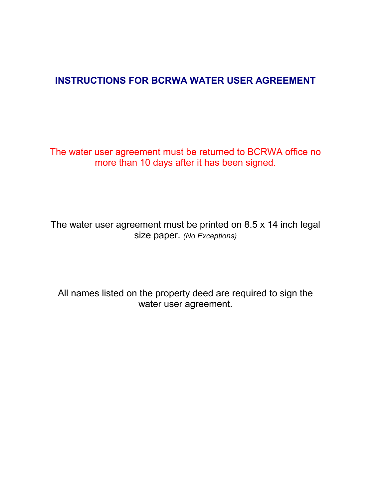## **INSTRUCTIONS FOR BCRWA WATER USER AGREEMENT**

The water user agreement must be returned to BCRWA office no more than 10 days after it has been signed.

The water user agreement must be printed on 8.5 x 14 inch legal size paper. *(No Exceptions)*

All names listed on the property deed are required to sign the water user agreement.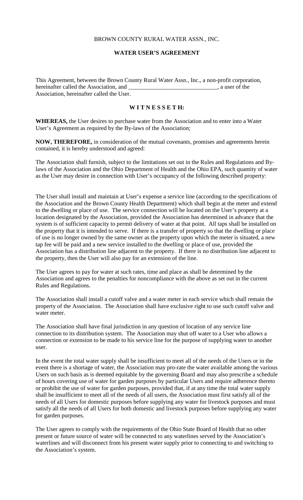## BROWN COUNTY RURAL WATER ASSN., INC.

## **WATER USER'S AGREEMENT**

This Agreement, between the Brown County Rural Water Assn., Inc., a non-profit corporation, hereinafter called the Association, and  $\qquad \qquad$ , a user of the Association, hereinafter called the User.

## **W I T N E S S E T H:**

**WHEREAS,** the User desires to purchase water from the Association and to enter into a Water User's Agreement as required by the By-laws of the Association;

**NOW, THEREFORE,** in consideration of the mutual covenants, promises and agreements herein contained, it is hereby understood and agreed:

The Association shall furnish, subject to the limitations set out in the Rules and Regulations and Bylaws of the Association and the Ohio Department of Health and the Ohio EPA, such quantity of water as the User may desire in connection with User's occupancy of the following described property:

The User shall install and maintain at User's expense a service line (according to the specifications of the Association and the Brown County Health Department) which shall begin at the meter and extend to the dwelling or place of use. The service connection will be located on the User's property at a location designated by the Association, provided the Association has determined in advance that the system is of sufficient capacity to permit delivery of water at that point. All taps shall be installed on the property that it is intended to serve. If there is a transfer of property so that the dwelling or place of use is no longer owned by the same owner as the property upon which the meter is situated, a new tap fee will be paid and a new service installed to the dwelling or place of use, provided the Association has a distribution line adjacent to the property. If there is no distribution line adjacent to the property, then the User will also pay for an extension of the line.

The User agrees to pay for water at such rates, time and place as shall be determined by the Association and agrees to the penalties for noncompliance with the above as set out in the current Rules and Regulations.

The Association shall install a cutoff valve and a water meter in each service which shall remain the property of the Association. The Association shall have exclusive right to use such cutoff valve and water meter.

The Association shall have final jurisdiction in any question of location of any service line connection to its distribution system. The Association may shut off water to a User who allows a connection or extension to be made to his service line for the purpose of supplying water to another user.

In the event the total water supply shall be insufficient to meet all of the needs of the Users or in the event there is a shortage of water, the Association may pro-rate the water available among the various Users on such basis as is deemed equitable by the governing Board and may also prescribe a schedule of hours covering use of water for garden purposes by particular Users and require adherence thereto or prohibit the use of water for garden purposes, provided that, if at any time the total water supply shall be insufficient to meet all of the needs of all users, the Association must first satisfy all of the needs of all Users for domestic purposes before supplying any water for livestock purposes and must satisfy all the needs of all Users for both domestic and livestock purposes before supplying any water for garden purposes.

The User agrees to comply with the requirements of the Ohio State Board of Health that no other present or future source of water will be connected to any waterlines served by the Association's waterlines and will disconnect from his present water supply prior to connecting to and switching to the Association's system.